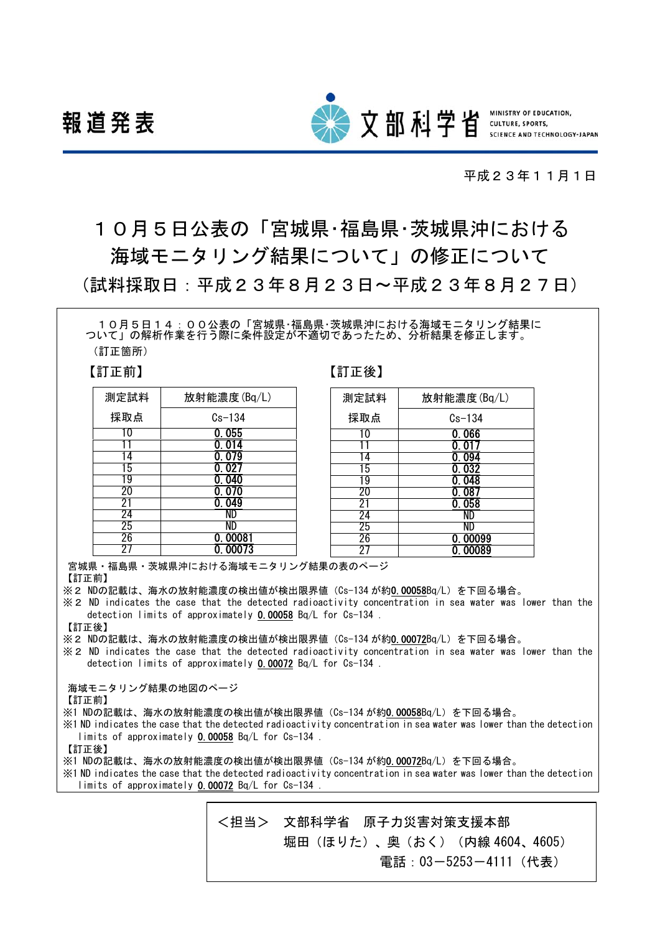報道発表



**SCIENCE AND TECHNOLOGY-JAPAN** 

平成23年11月1日

# 10月5日公表の「宮城県・福島県・茨城県沖における 海域モニタリング結果について」の修正について (試料採取日:平成23年8月23日~平成23年8月27日)

10月5日14:00公表の「宮城県・福島県・茨城県沖における海域モニタリング結果に ついて」の解析作業を行う際に条件設定が不適切であったため、分析結果を修正します。 (訂正箇所)

【訂正前】 【訂正後】

| 測定試料 | 放射能濃度(Bq/L) |  |  |
|------|-------------|--|--|
| 採取点  | $Cs-134$    |  |  |
|      | 0.055       |  |  |
|      | 0.014       |  |  |
|      | 0.079       |  |  |
| l b  | 0. 027      |  |  |
| 19   | 0.040       |  |  |
| 20   | 0. 070      |  |  |
| 21   | 0.049       |  |  |
| 24   | ND          |  |  |
| 25   | ND          |  |  |
| 26   | . 00081     |  |  |
|      | 0. 00073    |  |  |

| 測定試料 | 放射能濃度(Bq/L) |  |  |  |  |
|------|-------------|--|--|--|--|
| 採取点  | $Cs-134$    |  |  |  |  |
| 10   | 0.066       |  |  |  |  |
|      | 0. 017      |  |  |  |  |
| 4    | 0.094       |  |  |  |  |
| 15   | 0.032       |  |  |  |  |
| 19   | 0.048       |  |  |  |  |
| 20   | 0.087       |  |  |  |  |
| 2.   | 0.058       |  |  |  |  |
| 24   | ND          |  |  |  |  |
| 25   |             |  |  |  |  |
| 26   | 0.00099     |  |  |  |  |
|      | 0. 00089    |  |  |  |  |

宮城県・福島県・茨城県沖における海域モニタリング結果の表のページ

【訂正前】

※2 NDの記載は、海水の放射能濃度の検出値が検出限界値 (Cs-134 が約0.00058Bq/L) を下回る場合。

※2 ND indicates the case that the detected radioactivity concentration in sea water was lower than the detection limits of approximately 0.00058 Bq/L for Cs-134 .

【訂正後】

※2 NDの記載は、海水の放射能濃度の検出値が検出限界値(Cs-134 が約0.00072Bq/L)を下回る場合。

※2 ND indicates the case that the detected radioactivity concentration in sea water was lower than the detection limits of approximately 0.00072 Bq/L for Cs-134 .

海域モニタリング結果の地図のページ

【訂正前】

※1 NDの記載は、海水の放射能濃度の検出値が検出限界値 (Cs-134 が約0.00058Bq/L) を下回る場合。

※1 ND indicates the case that the detected radioactivity concentration in sea water was lower than the detection limits of approximately 0.00058 Bq/L for Cs-134 .

【訂正後】

- ※1 NDの記載は、海水の放射能濃度の検出値が検出限界値(Cs-134 が約0.00072Bq/L)を下回る場合。
- ※1 ND indicates the case that the detected radioactivity concentration in sea water was lower than the detection limits of approximately 0.00072 Bq/L for Cs-134.

<担当> 文部科学省 原子力災害対策支援本部 堀田(ほりた)、奥(おく)(内線 4604、4605)

電話:03-5253-4111 (代表)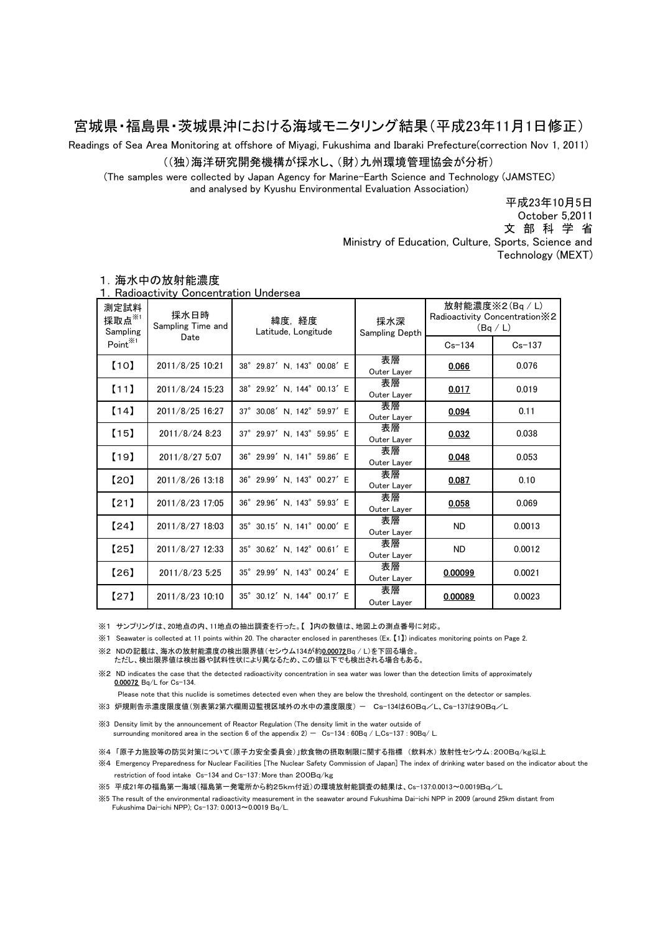## 宮城県・福島県・茨城県沖における海域モニタリング結果(平成23年11月1日修正)

Readings of Sea Area Monitoring at offshore of Miyagi, Fukushima and Ibaraki Prefecture(correction Nov 1, 2011)

#### ((独)海洋研究開発機構が採水し、(財)九州環境管理協会が分析)

(The samples were collected by Japan Agency for Marine-Earth Science and Technology (JAMSTEC) and analysed by Kyushu Environmental Evaluation Association)

> Ministry of Education, Culture, Sports, Science and Technology (MEXT) October 5,2011 平成23年10月5日 文 部 科 学 省

| 測定試料<br>採取点 $\overset{\times}{\pi}$<br>Sampling | 採水日時<br>Sampling Time and | 緯度,経度<br>Latitude, Longitude | 採水深<br>Sampling Depth | 放射能濃度※2(Bq / L)<br>Radioactivity Concentration X2<br>(Bq/L) |        |
|-------------------------------------------------|---------------------------|------------------------------|-----------------------|-------------------------------------------------------------|--------|
| Date<br>Point <sup>※1</sup>                     |                           |                              | $Cs - 134$            | $Cs - 137$                                                  |        |
| [10]                                            | 2011/8/25 10:21           | 38° 29.87' N, 143° 00.08' E  | 表層<br>Outer Layer     | 0.066                                                       | 0.076  |
| [11]                                            | 2011/8/24 15:23           | 38° 29.92' N, 144° 00.13' E  | 表層<br>Outer Layer     | 0.017                                                       | 0.019  |
| [14]                                            | 2011/8/25 16:27           | 37° 30.08' N, 142° 59.97' E  | 表層<br>Outer Layer     | 0.094                                                       | 0.11   |
| (15)                                            | 2011/8/24 8:23            | 37° 29.97' N, 143° 59.95' E  | 表層<br>Outer Layer     | 0.032                                                       | 0.038  |
| [19]                                            | 2011/8/27 5:07            | 36° 29.99' N, 141° 59.86' E  | 表層<br>Outer Layer     | 0.048                                                       | 0.053  |
| 【20】                                            | 2011/8/26 13:18           | 36° 29.99' N, 143° 00.27' E  | 表層<br>Outer Layer     | 0.087                                                       | 0.10   |
| [21]                                            | 2011/8/23 17:05           | 36° 29.96' N, 143° 59.93' E  | 表層<br>Outer Layer     | 0.058                                                       | 0.069  |
| 【24】                                            | 2011/8/27 18:03           | 35° 30.15' N, 141° 00.00' E  | 表層<br>Outer Layer     | <b>ND</b>                                                   | 0.0013 |
| [25]                                            | 2011/8/27 12:33           | 35° 30.62' N, 142° 00.61' E  | 表層<br>Outer Layer     | <b>ND</b>                                                   | 0.0012 |
| [26]                                            | 2011/8/23 5:25            | 35° 29.99' N, 143° 00.24' E  | 表層<br>Outer Layer     | 0.00099                                                     | 0.0021 |
| [27]                                            | 2011/8/23 10:10           | 35° 30.12' N, 144° 00.17' E  | 表層<br>Outer Layer     | 0.00089                                                     | 0.0023 |

#### 1.海水中の放射能濃度

1.Radioactivity Concentration Undersea

※1 サンプリングは、20地点の内、11地点の抽出調査を行った。【 】内の数値は、地図上の測点番号に対応。

※2 NDの記載は、海水の放射能濃度の検出限界値(セシウム134が約0.00072Bq / L)を下回る場合。 ※1 Seawater is collected at 11 points within 20. The character enclosed in parentheses (Ex. 【1】) indicates monitoring points on Page 2.

ただし、検出限界値は検出器や試料性状により異なるため、この値以下でも検出される場合もある。

※2 ND indicates the case that the detected radioactivity concentration in sea water was lower than the detection limits of approximately 0.00072 Bq/L for Cs-134.

Please note that this nuclide is sometimes detected even when they are below the threshold, contingent on the detector or samples.

※3 炉規則告示濃度限度値(別表第2第六欄周辺監視区域外の水中の濃度限度) - Cs-134は60Bq/L、Cs-137は90Bq/L

※3 Density limit by the announcement of Reactor Regulation (The density limit in the water outside of surrounding monitored area in the section 6 of the appendix  $2) - Cs-134 : 60Bq / LCs-137 : 90Bq / L$ 

※4 「原子力施設等の防災対策について(原子力安全委員会)」飲食物の摂取制限に関する指標 (飲料水) 放射性セシウム:200Bq/kg以上

※4 Emergency Preparedness for Nuclear Facilities [The Nuclear Safety Commission of Japan] The index of drinking water based on the indicator about the restriction of food intake Cs-134 and Cs-137:More than 200Bq/kg

※5 平成21年の福島第一海域(福島第一発電所から約25km付近)の環境放射能調査の結果は、Cs-137:0.0013~0.0019Bq/L

※5 The result of the environmental radioactivity measurement in the seawater around Fukushima Dai-ichi NPP in 2009 (around 25km distant from Fukushima Dai-ichi NPP); Cs-137: 0.0013~0.0019 Bq/L.